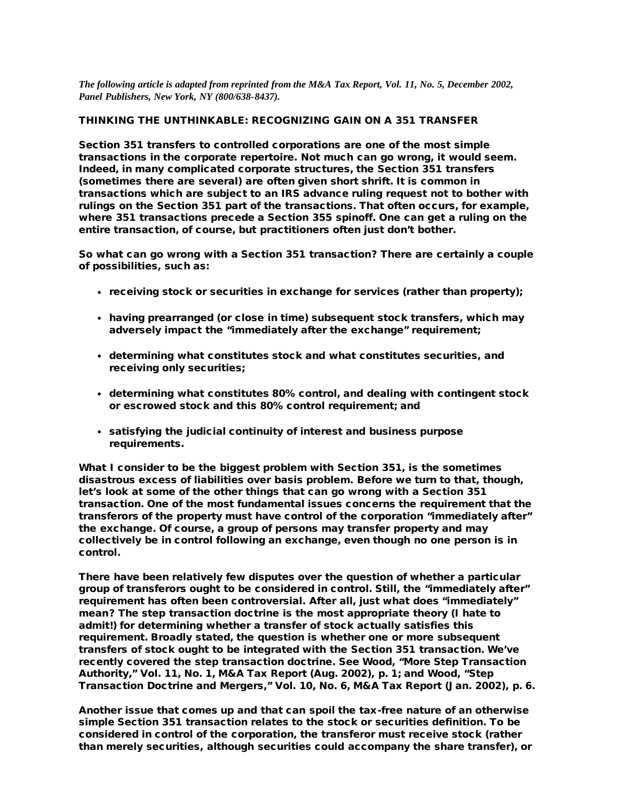*The following article is adapted from reprinted from the M&A Tax Report, Vol. 11, No. 5, December 2002, Panel Publishers, New York, NY (800/638-8437).*

### THINKING THE UNTHINKABLE: RECOGNIZING GAIN ON A 351 TRANSFER

Section 351 transfers to controlled corporations are one of the most simple transactions in the corporate repertoire. Not much can go wrong, it would seem. Indeed, in many complicated corporate structures, the Section 351 transfers (sometimes there are several) are often given short shrift. It is common in transactions which are subject to an IRS advance ruling request not to bother with rulings on the Section 351 part of the transactions. That often occurs, for example, where 351 transactions precede a Section 355 spinoff. One can get a ruling on the entire transaction, of course, but practitioners often just don't bother.

So what can go wrong with a Section 351 transaction? There are certainly a couple of possibilities, such as:

- $\cdot$  receiving stock or securities in exchange for services (rather than property);
- having prearranged (or close in time) subsequent stock transfers, which may adversely impact the "immediately after the exchange" requirement;
- determining what constitutes stock and what constitutes securities, and receiving only securities;
- determining what constitutes 80% control, and dealing with contingent stock or escrowed stock and this 80% control requirement; and
- satisfying the judicial continuity of interest and business purpose requirements.

What I consider to be the biggest problem with Section 351, is the sometimes disastrous excess of liabilities over basis problem. Before we turn to that, though, let's look at some of the other things that can go wrong with a Section 351 transaction. One of the most fundamental issues concerns the requirement that the transferors of the property must have control of the corporation "immediately after" the exchange. Of course, a group of persons may transfer property and may collectively be in control following an exchange, even though no one person is in control.

There have been relatively few disputes over the question of whether a particular group of transferors ought to be considered in control. Still, the "immediately after" requirement has often been controversial. After all, just what does "immediately" mean? The step transaction doctrine is the most appropriate theory (I hate to admit!) for determining whether a transfer of stock actually satisfies this requirement. Broadly stated, the question is whether one or more subsequent transfers of stock ought to be integrated with the Section 351 transaction. We've recently covered the step transaction doctrine. See Wood, "More Step Transaction Authority," Vol. 11, No. 1, M&A Tax Report (Aug. 2002), p. 1; and Wood, "Step Transaction Doctrine and Mergers," Vol. 10, No. 6, M&A Tax Report (Jan. 2002), p. 6.

Another issue that comes up and that can spoil the tax-free nature of an otherwise simple Section 351 transaction relates to the stock or securities definition. To be considered in control of the corporation, the transferor must receive stock (rather than merely securities, although securities could accompany the share transfer), or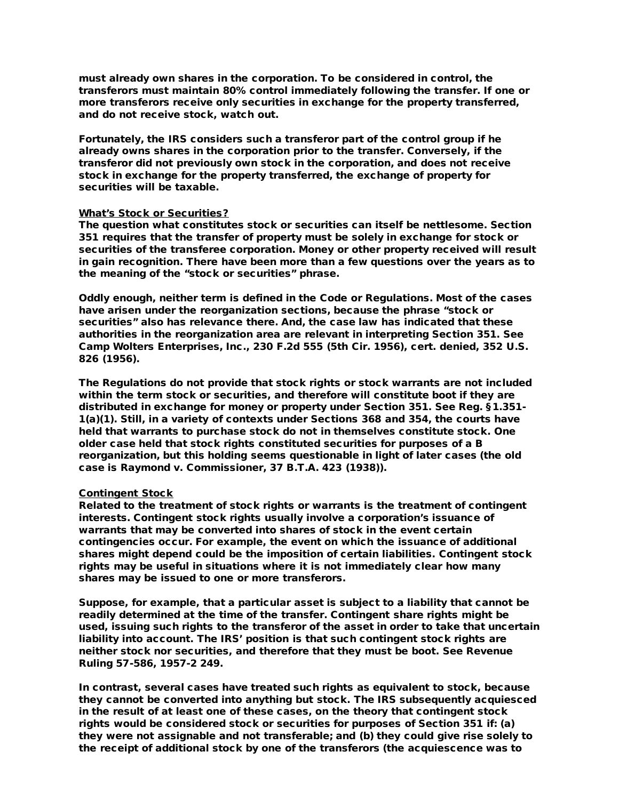must already own shares in the corporation. To be considered in control, the transferors must maintain 80% control immediately following the transfer. If one or more transferors receive only securities in exchange for the property transferred, and do not receive stock, watch out.

Fortunately, the IRS considers such a transferor part of the control group if he already owns shares in the corporation prior to the transfer. Conversely, if the transferor did not previously own stock in the corporation, and does not receive stock in exchange for the property transferred, the exchange of property for securities will be taxable.

### What's Stock or Securities?

The question what constitutes stock or securities can itself be nettlesome. Section 351 requires that the transfer of property must be solely in exchange for stock or securities of the transferee corporation. Money or other property received will result in gain recognition. There have been more than a few questions over the years as to the meaning of the "stock or securities" phrase.

Oddly enough, neither term is defined in the Code or Regulations. Most of the cases have arisen under the reorganization sections, because the phrase "stock or securities" also has relevance there. And, the case law has indicated that these authorities in the reorganization area are relevant in interpreting Section 351. See Camp Wolters Enterprises, Inc., 230 F.2d 555 (5th Cir. 1956), cert. denied, 352 U.S. 826 (1956).

The Regulations do not provide that stock rights or stock warrants are not included within the term stock or securities, and therefore will constitute boot if they are distributed in exchange for money or property under Section 351. See Reg. §1.351- 1(a)(1). Still, in a variety of contexts under Sections 368 and 354, the courts have held that warrants to purchase stock do not in themselves constitute stock. One older case held that stock rights constituted securities for purposes of a B reorganization, but this holding seems questionable in light of later cases (the old case is Raymond v. Commissioner, 37 B.T.A. 423 (1938)).

### Contingent Stock

Related to the treatment of stock rights or warrants is the treatment of contingent interests. Contingent stock rights usually involve a corporation's issuance of warrants that may be converted into shares of stock in the event certain contingencies occur. For example, the event on which the issuance of additional shares might depend could be the imposition of certain liabilities. Contingent stock rights may be useful in situations where it is not immediately clear how many shares may be issued to one or more transferors.

Suppose, for example, that a particular asset is subject to a liability that cannot be readily determined at the time of the transfer. Contingent share rights might be used, issuing such rights to the transferor of the asset in order to take that uncertain liability into account. The IRS' position is that such contingent stock rights are neither stock nor securities, and therefore that they must be boot. See Revenue Ruling 57-586, 1957-2 249.

In contrast, several cases have treated such rights as equivalent to stock, because they cannot be converted into anything but stock. The IRS subsequently acquiesced in the result of at least one of these cases, on the theory that contingent stock rights would be considered stock or securities for purposes of Section 351 if: (a) they were not assignable and not transferable; and (b) they could give rise solely to the receipt of additional stock by one of the transferors (the acquiescence was to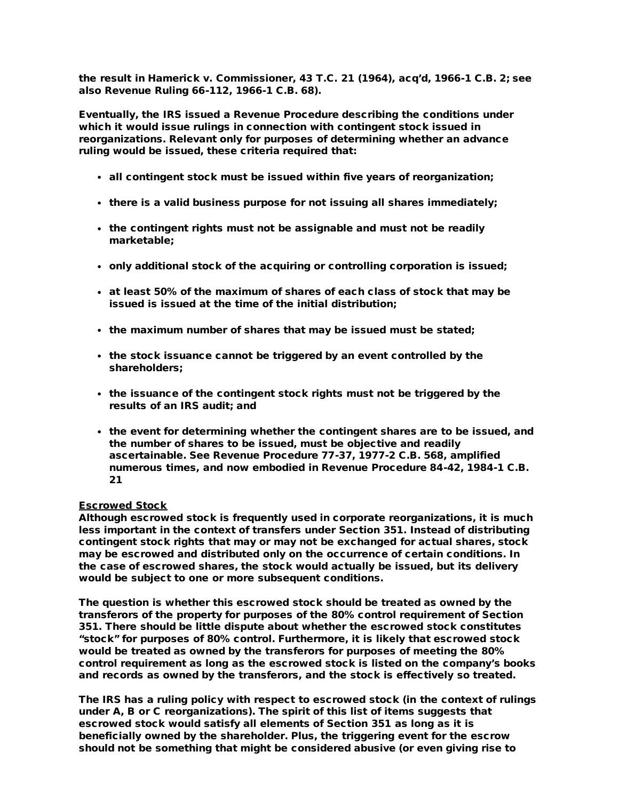the result in Hamerick v. Commissioner, 43 T.C. 21 (1964), acq'd, 1966-1 C.B. 2; see also Revenue Ruling 66-112, 1966-1 C.B. 68).

Eventually, the IRS issued a Revenue Procedure describing the conditions under which it would issue rulings in connection with contingent stock issued in reorganizations. Relevant only for purposes of determining whether an advance ruling would be issued, these criteria required that:

- all contingent stock must be issued within five years of reorganization;
- $\cdot$  there is a valid business purpose for not issuing all shares immediately;
- the contingent rights must not be assignable and must not be readily marketable;
- only additional stock of the acquiring or controlling corporation is issued;
- at least 50% of the maximum of shares of each class of stock that may be issued is issued at the time of the initial distribution;
- the maximum number of shares that may be issued must be stated;
- the stock issuance cannot be triggered by an event controlled by the shareholders;
- the issuance of the contingent stock rights must not be triggered by the results of an IRS audit; and
- the event for determining whether the contingent shares are to be issued, and the number of shares to be issued, must be objective and readily ascertainable. See Revenue Procedure 77-37, 1977-2 C.B. 568, amplified numerous times, and now embodied in Revenue Procedure 84-42, 1984-1 C.B. 21

## Escrowed Stock

Although escrowed stock is frequently used in corporate reorganizations, it is much less important in the context of transfers under Section 351. Instead of distributing contingent stock rights that may or may not be exchanged for actual shares, stock may be escrowed and distributed only on the occurrence of certain conditions. In the case of escrowed shares, the stock would actually be issued, but its delivery would be subject to one or more subsequent conditions.

The question is whether this escrowed stock should be treated as owned by the transferors of the property for purposes of the 80% control requirement of Section 351. There should be little dispute about whether the escrowed stock constitutes "stock" for purposes of 80% control. Furthermore, it is likely that escrowed stock would be treated as owned by the transferors for purposes of meeting the 80% control requirement as long as the escrowed stock is listed on the company's books and records as owned by the transferors, and the stock is effectively so treated.

The IRS has a ruling policy with respect to escrowed stock (in the context of rulings under A, B or C reorganizations). The spirit of this list of items suggests that escrowed stock would satisfy all elements of Section 351 as long as it is beneficially owned by the shareholder. Plus, the triggering event for the escrow should not be something that might be considered abusive (or even giving rise to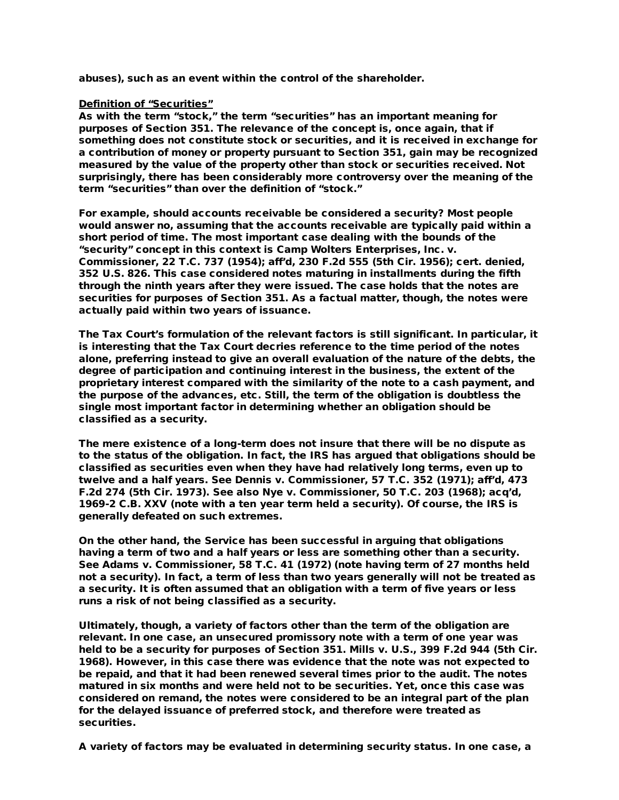abuses), such as an event within the control of the shareholder.

## Definition of "Securities"

As with the term "stock," the term "securities" has an important meaning for purposes of Section 351. The relevance of the concept is, once again, that if something does not constitute stock or securities, and it is received in exchange for a contribution of money or property pursuant to Section 351, gain may be recognized measured by the value of the property other than stock or securities received. Not surprisingly, there has been considerably more controversy over the meaning of the term "securities" than over the definition of "stock."

For example, should accounts receivable be considered a security? Most people would answer no, assuming that the accounts receivable are typically paid within a short period of time. The most important case dealing with the bounds of the "security" concept in this context is Camp Wolters Enterprises, Inc. v. Commissioner, 22 T.C. 737 (1954); aff'd, 230 F.2d 555 (5th Cir. 1956); cert. denied, 352 U.S. 826. This case considered notes maturing in installments during the fifth through the ninth years after they were issued. The case holds that the notes are securities for purposes of Section 351. As a factual matter, though, the notes were actually paid within two years of issuance.

The Tax Court's formulation of the relevant factors is still significant. In particular, it is interesting that the Tax Court decries reference to the time period of the notes alone, preferring instead to give an overall evaluation of the nature of the debts, the degree of participation and continuing interest in the business, the extent of the proprietary interest compared with the similarity of the note to a cash payment, and the purpose of the advances, etc. Still, the term of the obligation is doubtless the single most important factor in determining whether an obligation should be classified as a security.

The mere existence of a long-term does not insure that there will be no dispute as to the status of the obligation. In fact, the IRS has argued that obligations should be classified as securities even when they have had relatively long terms, even up to twelve and a half years. See Dennis v. Commissioner, 57 T.C. 352 (1971); aff'd, 473 F.2d 274 (5th Cir. 1973). See also Nye v. Commissioner, 50 T.C. 203 (1968); acq'd, 1969-2 C.B. XXV (note with a ten year term held a security). Of course, the IRS is generally defeated on such extremes.

On the other hand, the Service has been successful in arguing that obligations having a term of two and a half years or less are something other than a security. See Adams v. Commissioner, 58 T.C. 41 (1972) (note having term of 27 months held not a security). In fact, a term of less than two years generally will not be treated as a security. It is often assumed that an obligation with a term of five years or less runs a risk of not being classified as a security.

Ultimately, though, a variety of factors other than the term of the obligation are relevant. In one case, an unsecured promissory note with a term of one year was held to be a security for purposes of Section 351. Mills v. U.S., 399 F.2d 944 (5th Cir. 1968). However, in this case there was evidence that the note was not expected to be repaid, and that it had been renewed several times prior to the audit. The notes matured in six months and were held not to be securities. Yet, once this case was considered on remand, the notes were considered to be an integral part of the plan for the delayed issuance of preferred stock, and therefore were treated as securities.

A variety of factors may be evaluated in determining security status. In one case, a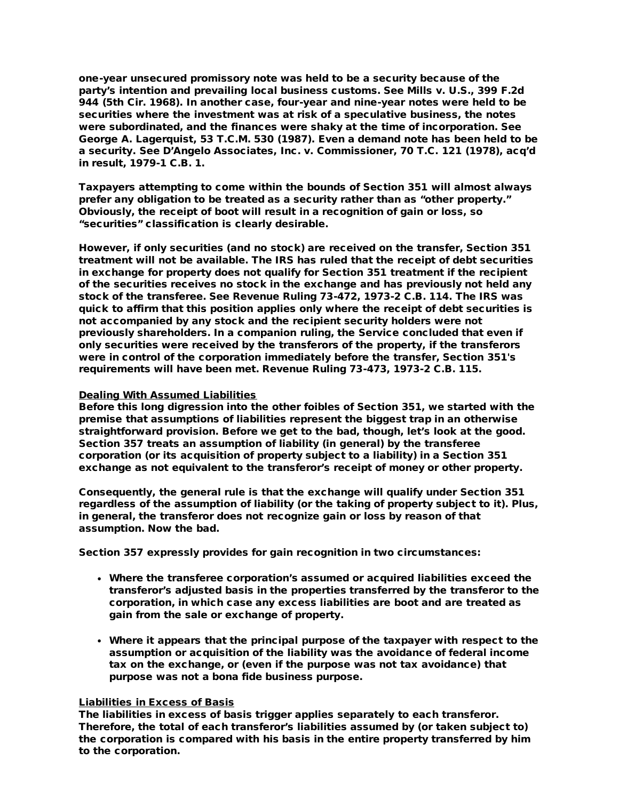one-year unsecured promissory note was held to be a security because of the party's intention and prevailing local business customs. See Mills v. U.S., 399 F.2d 944 (5th Cir. 1968). In another case, four-year and nine-year notes were held to be securities where the investment was at risk of a speculative business, the notes were subordinated, and the finances were shaky at the time of incorporation. See George A. Lagerquist, 53 T.C.M. 530 (1987). Even a demand note has been held to be a security. See D'Angelo Associates, Inc. v. Commissioner, 70 T.C. 121 (1978), acq'd in result, 1979-1 C.B. 1.

Taxpayers attempting to come within the bounds of Section 351 will almost always prefer any obligation to be treated as a security rather than as "other property." Obviously, the receipt of boot will result in a recognition of gain or loss, so "securities" classification is clearly desirable.

However, if only securities (and no stock) are received on the transfer, Section 351 treatment will not be available. The IRS has ruled that the receipt of debt securities in exchange for property does not qualify for Section 351 treatment if the recipient of the securities receives no stock in the exchange and has previously not held any stock of the transferee. See Revenue Ruling 73-472, 1973-2 C.B. 114. The IRS was quick to affirm that this position applies only where the receipt of debt securities is not accompanied by any stock and the recipient security holders were not previously shareholders. In a companion ruling, the Service concluded that even if only securities were received by the transferors of the property, if the transferors were in control of the corporation immediately before the transfer, Section 351's requirements will have been met. Revenue Ruling 73-473, 1973-2 C.B. 115.

# Dealing With Assumed Liabilities

Before this long digression into the other foibles of Section 351, we started with the premise that assumptions of liabilities represent the biggest trap in an otherwise straightforward provision. Before we get to the bad, though, let's look at the good. Section 357 treats an assumption of liability (in general) by the transferee corporation (or its acquisition of property subject to a liability) in a Section 351 exchange as not equivalent to the transferor's receipt of money or other property.

Consequently, the general rule is that the exchange will qualify under Section 351 regardless of the assumption of liability (or the taking of property subject to it). Plus, in general, the transferor does not recognize gain or loss by reason of that assumption. Now the bad.

Section 357 expressly provides for gain recognition in two circumstances:

- Where the transferee corporation's assumed or acquired liabilities exceed the transferor's adjusted basis in the properties transferred by the transferor to the corporation, in which case any excess liabilities are boot and are treated as gain from the sale or exchange of property.
- Where it appears that the principal purpose of the taxpayer with respect to the assumption or acquisition of the liability was the avoidance of federal income tax on the exchange, or (even if the purpose was not tax avoidance) that purpose was not a bona fide business purpose.

## Liabilities in Excess of Basis

The liabilities in excess of basis trigger applies separately to each transferor. Therefore, the total of each transferor's liabilities assumed by (or taken subject to) the corporation is compared with his basis in the entire property transferred by him to the corporation.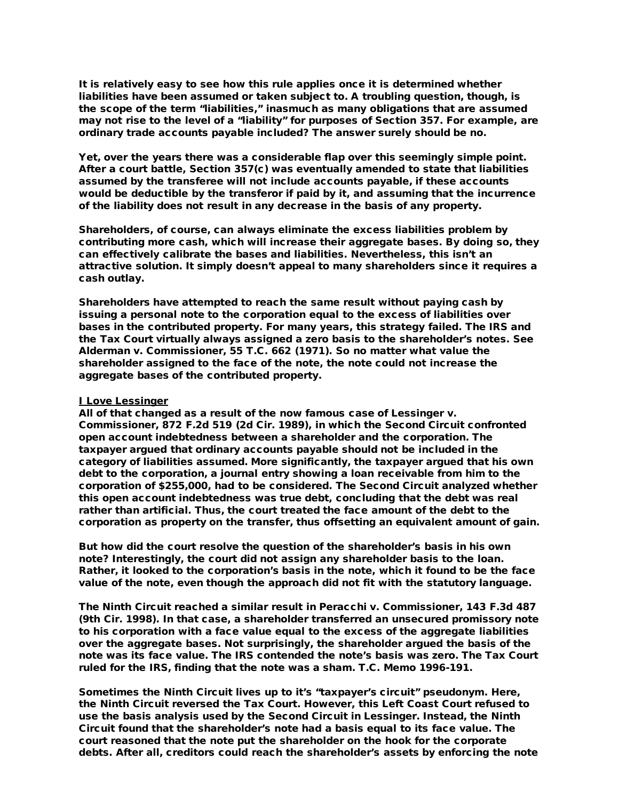It is relatively easy to see how this rule applies once it is determined whether liabilities have been assumed or taken subject to. A troubling question, though, is the scope of the term "liabilities," inasmuch as many obligations that are assumed may not rise to the level of a "liability" for purposes of Section 357. For example, are ordinary trade accounts payable included? The answer surely should be no.

Yet, over the years there was a considerable flap over this seemingly simple point. After a court battle, Section 357(c) was eventually amended to state that liabilities assumed by the transferee will not include accounts payable, if these accounts would be deductible by the transferor if paid by it, and assuming that the incurrence of the liability does not result in any decrease in the basis of any property.

Shareholders, of course, can always eliminate the excess liabilities problem by contributing more cash, which will increase their aggregate bases. By doing so, they can effectively calibrate the bases and liabilities. Nevertheless, this isn't an attractive solution. It simply doesn't appeal to many shareholders since it requires a cash outlay.

Shareholders have attempted to reach the same result without paying cash by issuing a personal note to the corporation equal to the excess of liabilities over bases in the contributed property. For many years, this strategy failed. The IRS and the Tax Court virtually always assigned a zero basis to the shareholder's notes. See Alderman v. Commissioner, 55 T.C. 662 (1971). So no matter what value the shareholder assigned to the face of the note, the note could not increase the aggregate bases of the contributed property.

## I Love Lessinger

All of that changed as a result of the now famous case of Lessinger v. Commissioner, 872 F.2d 519 (2d Cir. 1989), in which the Second Circuit confronted open account indebtedness between a shareholder and the corporation. The taxpayer argued that ordinary accounts payable should not be included in the category of liabilities assumed. More significantly, the taxpayer argued that his own debt to the corporation, a journal entry showing a loan receivable from him to the corporation of \$255,000, had to be considered. The Second Circuit analyzed whether this open account indebtedness was true debt, concluding that the debt was real rather than artificial. Thus, the court treated the face amount of the debt to the corporation as property on the transfer, thus offsetting an equivalent amount of gain.

But how did the court resolve the question of the shareholder's basis in his own note? Interestingly, the court did not assign any shareholder basis to the loan. Rather, it looked to the corporation's basis in the note, which it found to be the face value of the note, even though the approach did not fit with the statutory language.

The Ninth Circuit reached a similar result in Peracchi v. Commissioner, 143 F.3d 487 (9th Cir. 1998). In that case, a shareholder transferred an unsecured promissory note to his corporation with a face value equal to the excess of the aggregate liabilities over the aggregate bases. Not surprisingly, the shareholder argued the basis of the note was its face value. The IRS contended the note's basis was zero. The Tax Court ruled for the IRS, finding that the note was a sham. T.C. Memo 1996-191.

Sometimes the Ninth Circuit lives up to it's "taxpayer's circuit" pseudonym. Here, the Ninth Circuit reversed the Tax Court. However, this Left Coast Court refused to use the basis analysis used by the Second Circuit in Lessinger. Instead, the Ninth Circuit found that the shareholder's note had a basis equal to its face value. The court reasoned that the note put the shareholder on the hook for the corporate debts. After all, creditors could reach the shareholder's assets by enforcing the note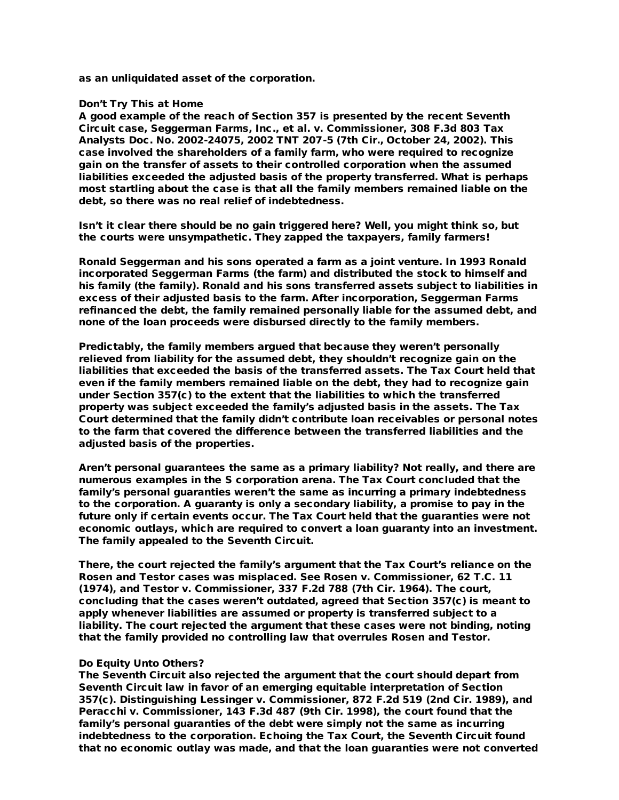as an unliquidated asset of the corporation.

#### Don't Try This at Home

A good example of the reach of Section 357 is presented by the recent Seventh Circuit case, Seggerman Farms, Inc., et al. v. Commissioner, 308 F.3d 803 Tax Analysts Doc. No. 2002-24075, 2002 TNT 207-5 (7th Cir., October 24, 2002). This case involved the shareholders of a family farm, who were required to recognize gain on the transfer of assets to their controlled corporation when the assumed liabilities exceeded the adjusted basis of the property transferred. What is perhaps most startling about the case is that all the family members remained liable on the debt, so there was no real relief of indebtedness.

Isn't it clear there should be no gain triggered here? Well, you might think so, but the courts were unsympathetic. They zapped the taxpayers, family farmers!

Ronald Seggerman and his sons operated a farm as a joint venture. In 1993 Ronald incorporated Seggerman Farms (the farm) and distributed the stock to himself and his family (the family). Ronald and his sons transferred assets subject to liabilities in excess of their adjusted basis to the farm. After incorporation, Seggerman Farms refinanced the debt, the family remained personally liable for the assumed debt, and none of the loan proceeds were disbursed directly to the family members.

Predictably, the family members argued that because they weren't personally relieved from liability for the assumed debt, they shouldn't recognize gain on the liabilities that exceeded the basis of the transferred assets. The Tax Court held that even if the family members remained liable on the debt, they had to recognize gain under Section 357(c) to the extent that the liabilities to which the transferred property was subject exceeded the family's adjusted basis in the assets. The Tax Court determined that the family didn't contribute loan receivables or personal notes to the farm that covered the difference between the transferred liabilities and the adjusted basis of the properties.

Aren't personal guarantees the same as a primary liability? Not really, and there are numerous examples in the S corporation arena. The Tax Court concluded that the family's personal guaranties weren't the same as incurring a primary indebtedness to the corporation. A guaranty is only a secondary liability, a promise to pay in the future only if certain events occur. The Tax Court held that the guaranties were not economic outlays, which are required to convert a loan guaranty into an investment. The family appealed to the Seventh Circuit.

There, the court rejected the family's argument that the Tax Court's reliance on the Rosen and Testor cases was misplaced. See Rosen v. Commissioner, 62 T.C. 11 (1974), and Testor v. Commissioner, 337 F.2d 788 (7th Cir. 1964). The court, concluding that the cases weren't outdated, agreed that Section 357(c) is meant to apply whenever liabilities are assumed or property is transferred subject to a liability. The court rejected the argument that these cases were not binding, noting that the family provided no controlling law that overrules Rosen and Testor.

## Do Equity Unto Others?

The Seventh Circuit also rejected the argument that the court should depart from Seventh Circuit law in favor of an emerging equitable interpretation of Section 357(c). Distinguishing Lessinger v. Commissioner, 872 F.2d 519 (2nd Cir. 1989), and Peracchi v. Commissioner, 143 F.3d 487 (9th Cir. 1998), the court found that the family's personal guaranties of the debt were simply not the same as incurring indebtedness to the corporation. Echoing the Tax Court, the Seventh Circuit found that no economic outlay was made, and that the loan guaranties were not converted